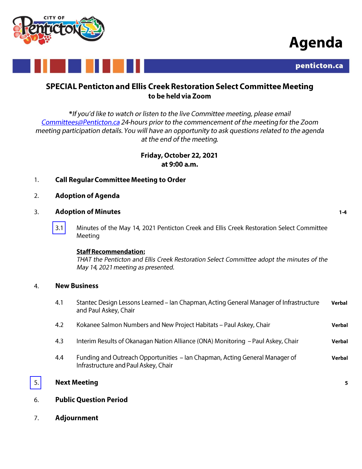

# Agenda



## SPECIAL Penticton and Ellis Creek Restoration Select Committee Meeting to be held via Zoom

\*If you'd like to watch or listen to the live Committee meeting, please email Committees@Penticton.ca 24-hours prior to the commencement of the meeting for the Zoom meeting participation details. You will have an opportunity to ask questions related to the agenda at the end of the meeting.

> Friday, October 22, 2021 at 9:00 a.m.

- **Call Regular Committee Meeting to Order**  $1.$
- **Adoption of Agenda**  $2.$

#### $3.$ **Adoption of Minutes**

 $3.1$ Minutes of the May 14, 2021 Penticton Creek and Ellis Creek Restoration Select Committee Meeting

### **Staff Recommendation:**

THAT the Penticton and Ellis Creek Restoration Select Committee adopt the minutes of the May 14, 2021 meeting as presented.

#### **New Business**  $4.$

| 4.1                       | Stantec Design Lessons Learned – Ian Chapman, Acting General Manager of Infrastructure<br>and Paul Askey, Chair     | Verbal |  |
|---------------------------|---------------------------------------------------------------------------------------------------------------------|--------|--|
| 4.2                       | Kokanee Salmon Numbers and New Project Habitats – Paul Askey, Chair                                                 | Verbal |  |
| 4.3                       | Interim Results of Okanagan Nation Alliance (ONA) Monitoring – Paul Askey, Chair                                    | Verbal |  |
| 4.4                       | Funding and Outreach Opportunities – Ian Chapman, Acting General Manager of<br>Infrastructure and Paul Askey, Chair | Verbal |  |
| <b>Next Meeting</b><br>5. |                                                                                                                     |        |  |

- **Public Question Period** 6.
- $7.$ **Adjournment**

5.

 $1 - 4$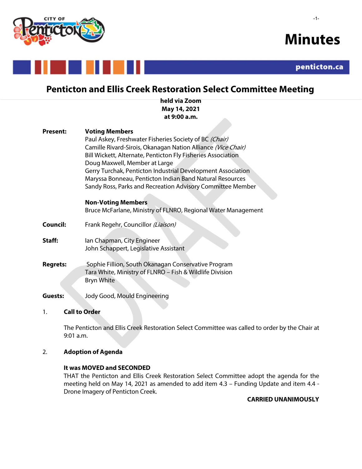

-1-



# **Penticton and Ellis Creek Restoration Select Committee Meeting**

**held via Zoom May 14, 2021 at 9:00 a.m.**

 $\mathcal{L}$ 

| <b>Present:</b> | <b>Voting Members</b><br>Paul Askey, Freshwater Fisheries Society of BC (Chair)<br>Camille Rivard-Sirois, Okanagan Nation Alliance (Vice Chair)<br>Bill Wickett, Alternate, Penticton Fly Fisheries Association<br>Doug Maxwell, Member at Large<br>Gerry Turchak, Penticton Industrial Development Association<br>Maryssa Bonneau, Penticton Indian Band Natural Resources<br>Sandy Ross, Parks and Recreation Advisory Committee Member |
|-----------------|-------------------------------------------------------------------------------------------------------------------------------------------------------------------------------------------------------------------------------------------------------------------------------------------------------------------------------------------------------------------------------------------------------------------------------------------|
|                 | <b>Non-Voting Members</b><br>Bruce McFarlane, Ministry of FLNRO, Regional Water Management                                                                                                                                                                                                                                                                                                                                                |
| Council:        | Frank Regehr, Councillor (Liaison)                                                                                                                                                                                                                                                                                                                                                                                                        |
| Staff:          | Ian Chapman, City Engineer<br>John Schappert, Legislative Assistant                                                                                                                                                                                                                                                                                                                                                                       |
| <b>Regrets:</b> | Sophie Fillion, South Okanagan Conservative Program<br>Tara White, Ministry of FLNRO - Fish & Wildlife Division<br>Bryn White                                                                                                                                                                                                                                                                                                             |

**Guests:** Jody Good, Mould Engineering

### 1. **Call to Order**

The Penticton and Ellis Creek Restoration Select Committee was called to order by the Chair at 9:01 a.m.

#### 2. **Adoption of Agenda**

### **It was MOVED and SECONDED**

THAT the Penticton and Ellis Creek Restoration Select Committee adopt the agenda for the meeting held on May 14, 2021 as amended to add item 4.3 – Funding Update and item 4.4 - Drone Imagery of Penticton Creek.

### **CARRIED UNANIMOUSLY**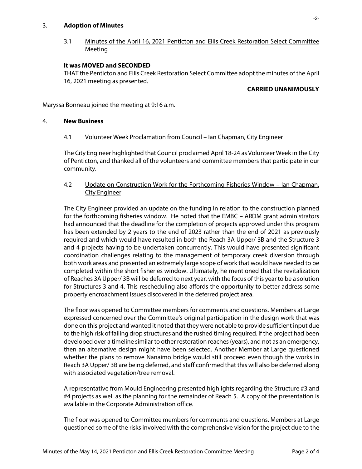#### 3. **Adoption of Minutes**

3.1 Minutes of the April 16, 2021 Penticton and Ellis Creek Restoration Select Committee Meeting

#### **It was MOVED and SECONDED**

THAT the Penticton and Ellis Creek Restoration Select Committee adopt the minutes of the April 16, 2021 meeting as presented.

#### **CARRIED UNANIMOUSLY**

Maryssa Bonneau joined the meeting at 9:16 a.m.

#### 4. **New Business**

#### 4.1 Volunteer Week Proclamation from Council – Ian Chapman, City Engineer

The City Engineer highlighted that Council proclaimed April 18-24 as Volunteer Week in the City of Penticton, and thanked all of the volunteers and committee members that participate in our community.

#### 4.2 Update on Construction Work for the Forthcoming Fisheries Window – Ian Chapman, City Engineer

The City Engineer provided an update on the funding in relation to the construction planned for the forthcoming fisheries window. He noted that the EMBC – ARDM grant administrators had announced that the deadline for the completion of projects approved under this program has been extended by 2 years to the end of 2023 rather than the end of 2021 as previously required and which would have resulted in both the Reach 3A Upper/ 3B and the Structure 3 and 4 projects having to be undertaken concurrently. This would have presented significant coordination challenges relating to the management of temporary creek diversion through both work areas and presented an extremely large scope of work that would have needed to be completed within the short fisheries window. Ultimately, he mentioned that the revitalization of Reaches 3A Upper/ 3B will be deferred to next year, with the focus of this year to be a solution for Structures 3 and 4. This rescheduling also affords the opportunity to better address some property encroachment issues discovered in the deferred project area.

The floor was opened to Committee members for comments and questions. Members at Large expressed concerned over the Committee's original participation in the design work that was done on this project and wanted it noted that they were not able to provide sufficient input due to the high risk of failing drop structures and the rushed timing required. If the project had been developed over a timeline similar to other restoration reaches (years), and not as an emergency, then an alternative design might have been selected. Another Member at Large questioned whether the plans to remove Nanaimo bridge would still proceed even though the works in Reach 3A Upper/ 3B are being deferred, and staff confirmed that this will also be deferred along with associated vegetation/tree removal.

A representative from Mould Engineering presented highlights regarding the Structure #3 and #4 projects as well as the planning for the remainder of Reach 5. A copy of the presentation is available in the Corporate Administration office.

The floor was opened to Committee members for comments and questions. Members at Large questioned some of the risks involved with the comprehensive vision for the project due to the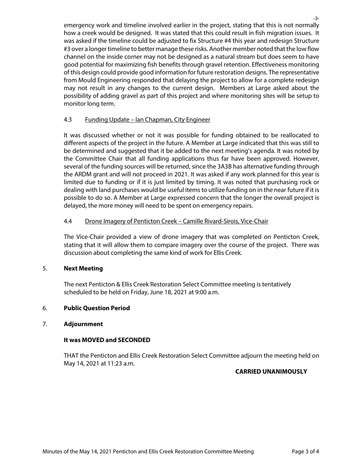emergency work and timeline involved earlier in the project, stating that this is not normally how a creek would be designed. It was stated that this could result in fish migration issues. It was asked if the timeline could be adjusted to fix Structure #4 this year and redesign Structure #3 over a longer timeline to better manage these risks. Another member noted that the low flow channel on the inside corner may not be designed as a natural stream but does seem to have good potential for maximizing fish benefits through gravel retention. Effectiveness monitoring of this design could provide good information for future restoration designs. The representative from Mould Engineering responded that delaying the project to allow for a complete redesign may not result in any changes to the current design. Members at Large asked about the possibility of adding gravel as part of this project and where monitoring sites will be setup to monitor long term.

#### 4.3 Funding Update – Ian Chapman, City Engineer

It was discussed whether or not it was possible for funding obtained to be reallocated to different aspects of the project in the future. A Member at Large indicated that this was still to be determined and suggested that it be added to the next meeting's agenda. It was noted by the Committee Chair that all funding applications thus far have been approved. However, several of the funding sources will be returned, since the 3A3B has alternative funding through the ARDM grant and will not proceed in 2021. It was asked if any work planned for this year is limited due to funding or if it is just limited by timing. It was noted that purchasing rock or dealing with land purchases would be useful itemsto utilize funding on in the near future if it is possible to do so. A Member at Large expressed concern that the longer the overall project is delayed, the more money will need to be spent on emergency repairs.

### 4.4 Drone Imagery of Penticton Creek - Camille Rivard-Sirois, Vice-Chair

The Vice-Chair provided a view of drone imagery that was completed on Penticton Creek, stating that it will allow them to compare imagery over the course of the project. There was discussion about completing the same kind of work for Ellis Creek.

#### 5. **Next Meeting**

The next Penticton & Ellis Creek Restoration Select Committee meeting is tentatively scheduled to be held on Friday, June 18, 2021 at 9:00 a.m.

#### 6. **Public Question Period**

#### 7. **Adjournment**

#### **It was MOVED and SECONDED**

THAT the Penticton and Ellis Creek Restoration Select Committee adjourn the meeting held on May 14, 2021 at 11:23 a.m.

### **CARRIED UNANIMOUSLY**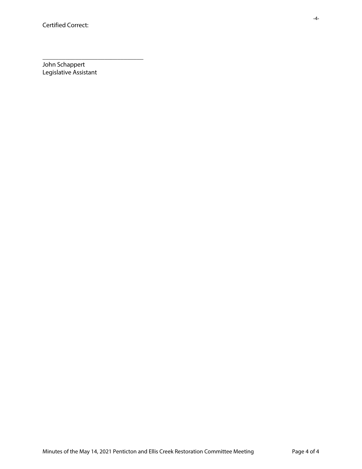John Schappert Legislative Assistant

\_\_\_\_\_\_\_\_\_\_\_\_\_\_\_\_\_\_\_\_\_\_\_\_\_\_\_\_\_\_\_